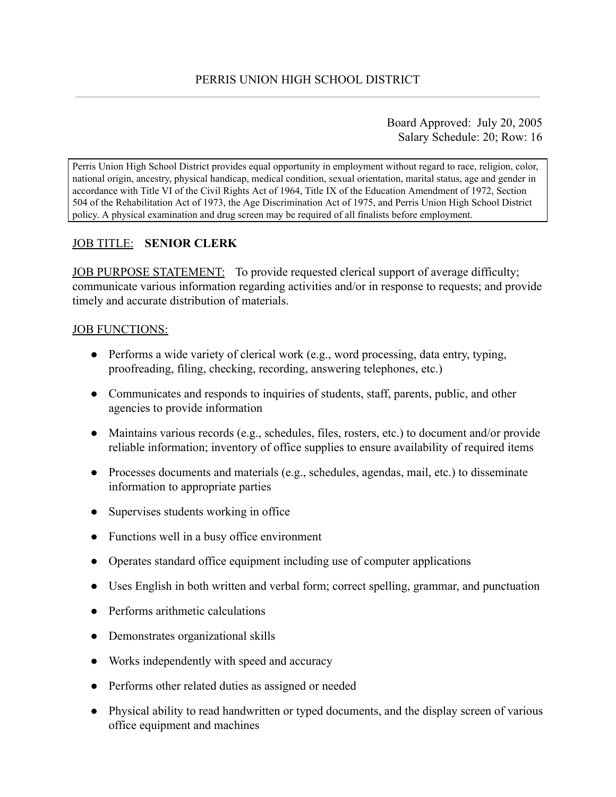Board Approved: July 20, 2005 Salary Schedule: 20; Row: 16

Perris Union High School District provides equal opportunity in employment without regard to race, religion, color, national origin, ancestry, physical handicap, medical condition, sexual orientation, marital status, age and gender in accordance with Title VI of the Civil Rights Act of 1964, Title IX of the Education Amendment of 1972, Section 504 of the Rehabilitation Act of 1973, the Age Discrimination Act of 1975, and Perris Union High School District policy. A physical examination and drug screen may be required of all finalists before employment.

# JOB TITLE: **SENIOR CLERK**

JOB PURPOSE STATEMENT: To provide requested clerical support of average difficulty; communicate various information regarding activities and/or in response to requests; and provide timely and accurate distribution of materials.

### JOB FUNCTIONS:

- $\bullet$  Performs a wide variety of clerical work (e.g., word processing, data entry, typing, proofreading, filing, checking, recording, answering telephones, etc.)
- Communicates and responds to inquiries of students, staff, parents, public, and other agencies to provide information
- Maintains various records (e.g., schedules, files, rosters, etc.) to document and/or provide reliable information; inventory of office supplies to ensure availability of required items
- Processes documents and materials (e.g., schedules, agendas, mail, etc.) to disseminate information to appropriate parties
- Supervises students working in office
- Functions well in a busy office environment
- Operates standard office equipment including use of computer applications
- Uses English in both written and verbal form; correct spelling, grammar, and punctuation
- Performs arithmetic calculations
- Demonstrates organizational skills
- Works independently with speed and accuracy
- Performs other related duties as assigned or needed
- Physical ability to read handwritten or typed documents, and the display screen of various office equipment and machines